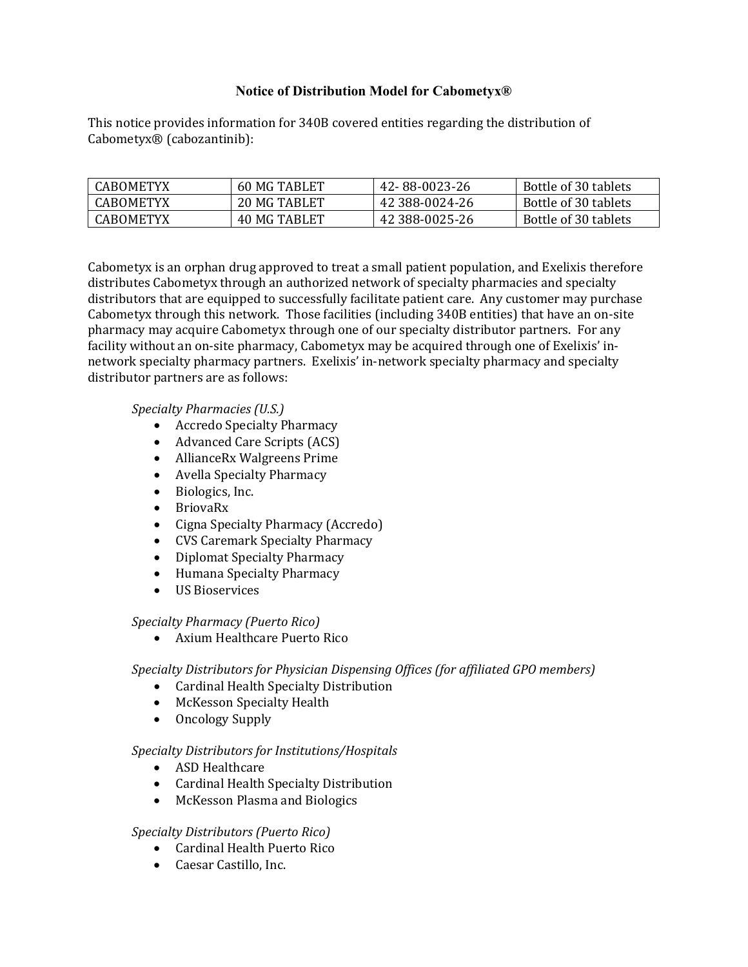# **Notice of Distribution Model for Cabometyx®**

This notice provides information for 340B covered entities regarding the distribution of Cabometyx® (cabozantinib):

| CABOMETYX        | 60 MG TABLET | 42-88-0023-26  | Bottle of 30 tablets |
|------------------|--------------|----------------|----------------------|
| CABOMETYX        | 20 MG TABLET | 42 388-0024-26 | Bottle of 30 tablets |
| <b>CABOMETYX</b> | 40 MG TABLET | 42 388-0025-26 | Bottle of 30 tablets |

Cabometyx is an orphan drug approved to treat a small patient population, and Exelixis therefore distributes Cabometyx through an authorized network of specialty pharmacies and specialty distributors that are equipped to successfully facilitate patient care. Any customer may purchase Cabometyx through this network. Those facilities (including 340B entities) that have an on-site pharmacy may acquire Cabometyx through one of our specialty distributor partners. For any facility without an on-site pharmacy, Cabometyx may be acquired through one of Exelixis' innetwork specialty pharmacy partners. Exelixis' in-network specialty pharmacy and specialty distributor partners are as follows:

*Specialty Pharmacies (U.S.)* 

- Accredo Specialty Pharmacy
- Advanced Care Scripts (ACS)
- AllianceRx Walgreens Prime
- Avella Specialty Pharmacy
- Biologics, Inc.
- BriovaRx
- Cigna Specialty Pharmacy (Accredo)
- CVS Caremark Specialty Pharmacy
- Diplomat Specialty Pharmacy<br>• Humana Specialty Pharmacy
- Humana Specialty Pharmacy
- US Bioservices

## *Specialty Pharmacy (Puerto Rico)*

• Axium Healthcare Puerto Rico

## *Specialty Distributors for Physician Dispensing Offices (for affiliated GPO members)*

- Cardinal Health Specialty Distribution
- McKesson Specialty Health
- Oncology Supply

## *Specialty Distributors for Institutions/Hospitals*

- ASD Healthcare
- Cardinal Health Specialty Distribution
- McKesson Plasma and Biologics

## *Specialty Distributors (Puerto Rico)*

- Cardinal Health Puerto Rico
- Caesar Castillo, Inc.